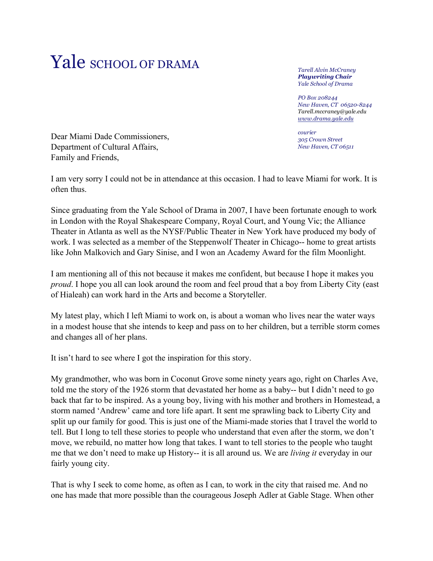## Yale SCHOOL OF DRAMA

*Tarell Alvin McCraney Playwriting Chair Yale School of Drama*

*PO Box 208244 New Haven, CT 06520-8244 Tarell.mccraney@yale.edu www.drama.yale.edu*

*courier 305 Crown Street New Haven, CT 06511*

Dear Miami Dade Commissioners, Department of Cultural Affairs, Family and Friends,

I am very sorry I could not be in attendance at this occasion. I had to leave Miami for work. It is often thus.

Since graduating from the Yale School of Drama in 2007, I have been fortunate enough to work in London with the Royal Shakespeare Company, Royal Court, and Young Vic; the Alliance Theater in Atlanta as well as the NYSF/Public Theater in New York have produced my body of work. I was selected as a member of the Steppenwolf Theater in Chicago-- home to great artists like John Malkovich and Gary Sinise, and I won an Academy Award for the film Moonlight.

I am mentioning all of this not because it makes me confident, but because I hope it makes you *proud*. I hope you all can look around the room and feel proud that a boy from Liberty City (east of Hialeah) can work hard in the Arts and become a Storyteller.

My latest play, which I left Miami to work on, is about a woman who lives near the water ways in a modest house that she intends to keep and pass on to her children, but a terrible storm comes and changes all of her plans.

It isn't hard to see where I got the inspiration for this story.

My grandmother, who was born in Coconut Grove some ninety years ago, right on Charles Ave, told me the story of the 1926 storm that devastated her home as a baby-- but I didn't need to go back that far to be inspired. As a young boy, living with his mother and brothers in Homestead, a storm named 'Andrew' came and tore life apart. It sent me sprawling back to Liberty City and split up our family for good. This is just one of the Miami-made stories that I travel the world to tell. But I long to tell these stories to people who understand that even after the storm, we don't move, we rebuild, no matter how long that takes. I want to tell stories to the people who taught me that we don't need to make up History-- it is all around us. We are *living it* everyday in our fairly young city.

That is why I seek to come home, as often as I can, to work in the city that raised me. And no one has made that more possible than the courageous Joseph Adler at Gable Stage. When other